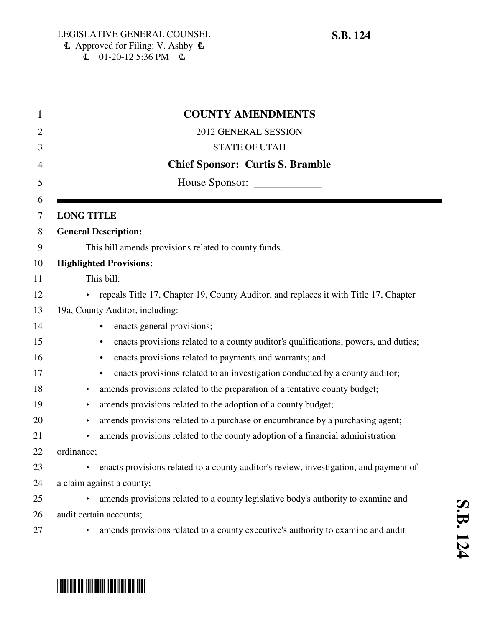### $\Phi$  Approved for Filing: V. Ashby  $\Phi$  $\overline{6}$  01-20-12 5:36 PM  $\overline{6}$

| 1      | <b>COUNTY AMENDMENTS</b>                                                                         |  |
|--------|--------------------------------------------------------------------------------------------------|--|
| 2      | 2012 GENERAL SESSION                                                                             |  |
| 3      | <b>STATE OF UTAH</b>                                                                             |  |
| 4      | <b>Chief Sponsor: Curtis S. Bramble</b>                                                          |  |
| 5      |                                                                                                  |  |
| 6<br>7 | <b>LONG TITLE</b>                                                                                |  |
| 8      | <b>General Description:</b>                                                                      |  |
| 9      | This bill amends provisions related to county funds.                                             |  |
| 10     | <b>Highlighted Provisions:</b>                                                                   |  |
| 11     | This bill:                                                                                       |  |
| 12     | repeals Title 17, Chapter 19, County Auditor, and replaces it with Title 17, Chapter             |  |
| 13     | 19a, County Auditor, including:                                                                  |  |
| 14     | enacts general provisions;<br>$\bullet$                                                          |  |
| 15     | enacts provisions related to a county auditor's qualifications, powers, and duties;<br>$\bullet$ |  |
| 16     | enacts provisions related to payments and warrants; and<br>٠                                     |  |
| 17     | enacts provisions related to an investigation conducted by a county auditor;<br>$\bullet$        |  |
| 18     | amends provisions related to the preparation of a tentative county budget;<br>▶                  |  |
| 19     | amends provisions related to the adoption of a county budget;                                    |  |
| 20     | amends provisions related to a purchase or encumbrance by a purchasing agent;<br>▶               |  |
| 21     | amends provisions related to the county adoption of a financial administration                   |  |
| 22     | ordinance;                                                                                       |  |
| 23     | enacts provisions related to a county auditor's review, investigation, and payment of            |  |
| 24     | a claim against a county;                                                                        |  |
| 25     | amends provisions related to a county legislative body's authority to examine and                |  |
| 26     | audit certain accounts;                                                                          |  |
| 27     | amends provisions related to a county executive's authority to examine and audit                 |  |

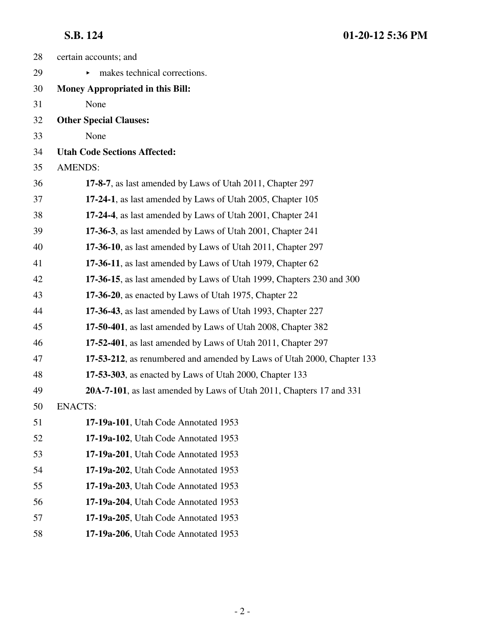| 28 | certain accounts; and                                                  |
|----|------------------------------------------------------------------------|
| 29 | makes technical corrections.                                           |
| 30 | <b>Money Appropriated in this Bill:</b>                                |
| 31 | None                                                                   |
| 32 | <b>Other Special Clauses:</b>                                          |
| 33 | None                                                                   |
| 34 | <b>Utah Code Sections Affected:</b>                                    |
| 35 | <b>AMENDS:</b>                                                         |
| 36 | 17-8-7, as last amended by Laws of Utah 2011, Chapter 297              |
| 37 | 17-24-1, as last amended by Laws of Utah 2005, Chapter 105             |
| 38 | 17-24-4, as last amended by Laws of Utah 2001, Chapter 241             |
| 39 | 17-36-3, as last amended by Laws of Utah 2001, Chapter 241             |
| 40 | 17-36-10, as last amended by Laws of Utah 2011, Chapter 297            |
| 41 | 17-36-11, as last amended by Laws of Utah 1979, Chapter 62             |
| 42 | 17-36-15, as last amended by Laws of Utah 1999, Chapters 230 and 300   |
| 43 | 17-36-20, as enacted by Laws of Utah 1975, Chapter 22                  |
| 44 | 17-36-43, as last amended by Laws of Utah 1993, Chapter 227            |
| 45 | 17-50-401, as last amended by Laws of Utah 2008, Chapter 382           |
| 46 | 17-52-401, as last amended by Laws of Utah 2011, Chapter 297           |
| 47 | 17-53-212, as renumbered and amended by Laws of Utah 2000, Chapter 133 |
| 48 | 17-53-303, as enacted by Laws of Utah 2000, Chapter 133                |
| 49 | 20A-7-101, as last amended by Laws of Utah 2011, Chapters 17 and 331   |
| 50 | <b>ENACTS:</b>                                                         |
| 51 | 17-19a-101, Utah Code Annotated 1953                                   |
| 52 | 17-19a-102, Utah Code Annotated 1953                                   |
| 53 | 17-19a-201, Utah Code Annotated 1953                                   |
| 54 | 17-19a-202, Utah Code Annotated 1953                                   |
| 55 | 17-19a-203, Utah Code Annotated 1953                                   |
| 56 | 17-19a-204, Utah Code Annotated 1953                                   |
| 57 | 17-19a-205, Utah Code Annotated 1953                                   |
| 58 | 17-19a-206, Utah Code Annotated 1953                                   |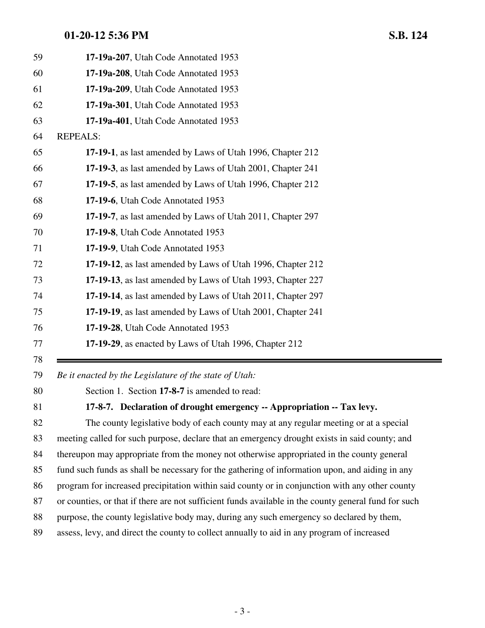| 59 | 17-19a-207, Utah Code Annotated 1953                                      |
|----|---------------------------------------------------------------------------|
| 60 | 17-19a-208, Utah Code Annotated 1953                                      |
| 61 | 17-19a-209, Utah Code Annotated 1953                                      |
| 62 | 17-19a-301, Utah Code Annotated 1953                                      |
| 63 | 17-19a-401, Utah Code Annotated 1953                                      |
| 64 | <b>REPEALS:</b>                                                           |
| 65 | 17-19-1, as last amended by Laws of Utah 1996, Chapter 212                |
| 66 | 17-19-3, as last amended by Laws of Utah 2001, Chapter 241                |
| 67 | 17-19-5, as last amended by Laws of Utah 1996, Chapter 212                |
| 68 | 17-19-6, Utah Code Annotated 1953                                         |
| 69 | 17-19-7, as last amended by Laws of Utah 2011, Chapter 297                |
| 70 | 17-19-8, Utah Code Annotated 1953                                         |
| 71 | 17-19-9, Utah Code Annotated 1953                                         |
| 72 | 17-19-12, as last amended by Laws of Utah 1996, Chapter 212               |
| 73 | 17-19-13, as last amended by Laws of Utah 1993, Chapter 227               |
| 74 | 17-19-14, as last amended by Laws of Utah 2011, Chapter 297               |
| 75 | 17-19-19, as last amended by Laws of Utah 2001, Chapter 241               |
| 76 | 17-19-28, Utah Code Annotated 1953                                        |
| 77 | 17-19-29, as enacted by Laws of Utah 1996, Chapter 212                    |
| 78 |                                                                           |
| 70 | $\mathbf{D}_{\alpha}$ it exacted by the Leoiglature of the state of Utaly |

*Be it enacted by the Legislature of the state of Utah:*

80 Section 1. Section **17-8-7** is amended to read:

### **17-8-7. Declaration of drought emergency -- Appropriation -- Tax levy.**

82 The county legislative body of each county may at any regular meeting or at a special 83 meeting called for such purpose, declare that an emergency drought exists in said county; and 84 thereupon may appropriate from the money not otherwise appropriated in the county general 85 fund such funds as shall be necessary for the gathering of information upon, and aiding in any 86 program for increased precipitation within said county or in conjunction with any other county 87 or counties, or that if there are not sufficient funds available in the county general fund for such 88 purpose, the county legislative body may, during any such emergency so declared by them, 89 assess, levy, and direct the county to collect annually to aid in any program of increased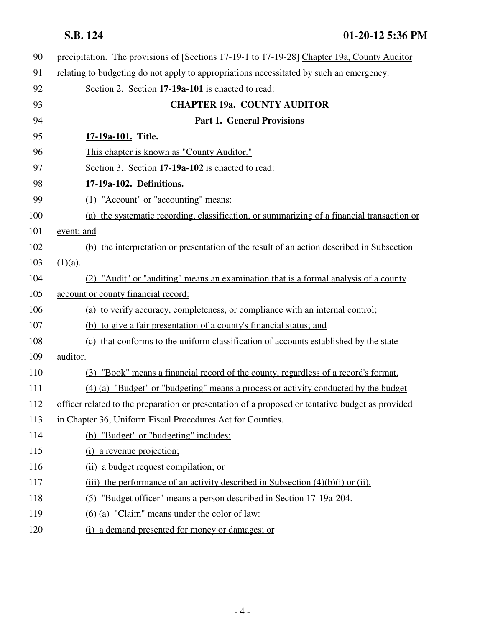| 90  | precipitation. The provisions of [Sections 17-19-1 to 17-19-28] Chapter 19a, County Auditor      |
|-----|--------------------------------------------------------------------------------------------------|
| 91  | relating to budgeting do not apply to appropriations necessitated by such an emergency.          |
| 92  | Section 2. Section 17-19a-101 is enacted to read:                                                |
| 93  | <b>CHAPTER 19a. COUNTY AUDITOR</b>                                                               |
| 94  | <b>Part 1. General Provisions</b>                                                                |
| 95  | 17-19a-101. Title.                                                                               |
| 96  | This chapter is known as "County Auditor."                                                       |
| 97  | Section 3. Section 17-19a-102 is enacted to read:                                                |
| 98  | 17-19a-102. Definitions.                                                                         |
| 99  | (1) "Account" or "accounting" means:                                                             |
| 100 | (a) the systematic recording, classification, or summarizing of a financial transaction or       |
| 101 | event; and                                                                                       |
| 102 | (b) the interpretation or presentation of the result of an action described in Subsection        |
| 103 | $(1)(a)$ .                                                                                       |
| 104 | (2) "Audit" or "auditing" means an examination that is a formal analysis of a county             |
| 105 | account or county financial record:                                                              |
| 106 | (a) to verify accuracy, completeness, or compliance with an internal control;                    |
| 107 | (b) to give a fair presentation of a county's financial status; and                              |
| 108 | (c) that conforms to the uniform classification of accounts established by the state             |
| 109 | auditor.                                                                                         |
| 110 | (3) "Book" means a financial record of the county, regardless of a record's format.              |
| 111 | (4) (a) "Budget" or "budgeting" means a process or activity conducted by the budget              |
| 112 | officer related to the preparation or presentation of a proposed or tentative budget as provided |
| 113 | in Chapter 36, Uniform Fiscal Procedures Act for Counties.                                       |
| 114 | (b) "Budget" or "budgeting" includes:                                                            |
| 115 | (i) a revenue projection;                                                                        |
| 116 | (ii) a budget request compilation; or                                                            |
| 117 | (iii) the performance of an activity described in Subsection $(4)(b)(i)$ or (ii).                |
| 118 | (5) "Budget officer" means a person described in Section 17-19a-204.                             |
| 119 | (6) (a) "Claim" means under the color of law:                                                    |
| 120 | (i) a demand presented for money or damages; or                                                  |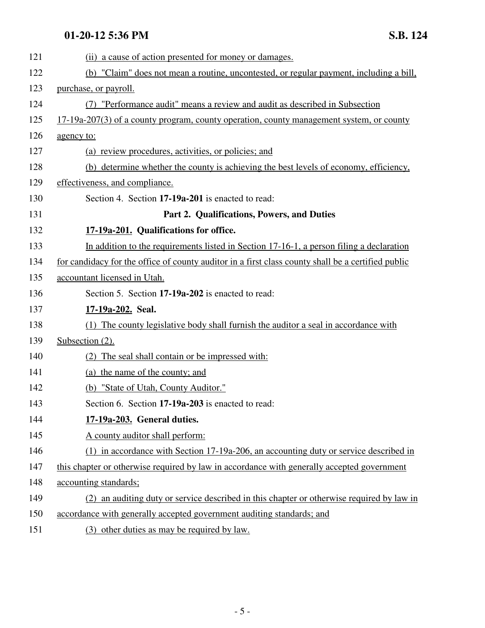| 121 | (ii) a cause of action presented for money or damages.                                             |
|-----|----------------------------------------------------------------------------------------------------|
| 122 | (b) "Claim" does not mean a routine, uncontested, or regular payment, including a bill,            |
| 123 | purchase, or payroll.                                                                              |
| 124 | (7) "Performance audit" means a review and audit as described in Subsection                        |
| 125 | 17-19a-207(3) of a county program, county operation, county management system, or county           |
| 126 | agency to:                                                                                         |
| 127 | (a) review procedures, activities, or policies; and                                                |
| 128 | (b) determine whether the county is achieving the best levels of economy, efficiency,              |
| 129 | effectiveness, and compliance.                                                                     |
| 130 | Section 4. Section 17-19a-201 is enacted to read:                                                  |
| 131 | Part 2. Qualifications, Powers, and Duties                                                         |
| 132 | 17-19a-201. Qualifications for office.                                                             |
| 133 | In addition to the requirements listed in Section 17-16-1, a person filing a declaration           |
| 134 | for candidacy for the office of county auditor in a first class county shall be a certified public |
| 135 | accountant licensed in Utah.                                                                       |
| 136 | Section 5. Section 17-19a-202 is enacted to read:                                                  |
| 137 | 17-19a-202. Seal.                                                                                  |
| 138 | (1) The county legislative body shall furnish the auditor a seal in accordance with                |
| 139 | Subsection (2).                                                                                    |
| 140 | (2) The seal shall contain or be impressed with:                                                   |
| 141 | (a) the name of the county; and                                                                    |
| 142 | (b) "State of Utah, County Auditor."                                                               |
| 143 | Section 6. Section 17-19a-203 is enacted to read:                                                  |
| 144 | 17-19a-203. General duties.                                                                        |
| 145 | A county auditor shall perform:                                                                    |
| 146 | (1) in accordance with Section 17-19a-206, an accounting duty or service described in              |
| 147 | this chapter or otherwise required by law in accordance with generally accepted government         |
| 148 | accounting standards;                                                                              |
| 149 | (2) an auditing duty or service described in this chapter or otherwise required by law in          |
| 150 | accordance with generally accepted government auditing standards; and                              |
| 151 | (3) other duties as may be required by law.                                                        |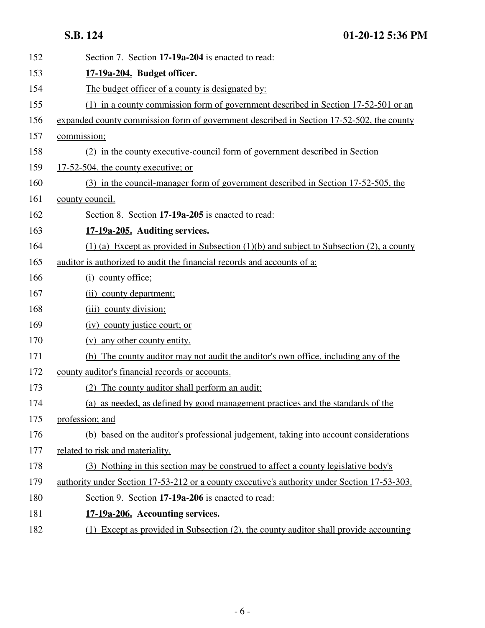| 152 | Section 7. Section 17-19a-204 is enacted to read:                                            |
|-----|----------------------------------------------------------------------------------------------|
| 153 | 17-19a-204. Budget officer.                                                                  |
| 154 | The budget officer of a county is designated by:                                             |
| 155 | (1) in a county commission form of government described in Section 17-52-501 or an           |
| 156 | expanded county commission form of government described in Section 17-52-502, the county     |
| 157 | commission;                                                                                  |
| 158 | (2) in the county executive-council form of government described in Section                  |
| 159 | 17-52-504, the county executive; or                                                          |
| 160 | (3) in the council-manager form of government described in Section 17-52-505, the            |
| 161 | county council.                                                                              |
| 162 | Section 8. Section 17-19a-205 is enacted to read:                                            |
| 163 | 17-19a-205. Auditing services.                                                               |
| 164 | $(1)$ (a) Except as provided in Subsection (1)(b) and subject to Subsection (2), a county    |
| 165 | auditor is authorized to audit the financial records and accounts of a:                      |
| 166 | (i) county office;                                                                           |
| 167 | (ii) county department;                                                                      |
| 168 | (iii) county division;                                                                       |
| 169 | (iv) county justice court; or                                                                |
| 170 | (v) any other county entity.                                                                 |
| 171 | (b) The county auditor may not audit the auditor's own office, including any of the          |
| 172 | county auditor's financial records or accounts.                                              |
| 173 | (2) The county auditor shall perform an audit:                                               |
| 174 | (a) as needed, as defined by good management practices and the standards of the              |
| 175 | profession; and                                                                              |
| 176 | (b) based on the auditor's professional judgement, taking into account considerations        |
| 177 | related to risk and materiality.                                                             |
| 178 | (3) Nothing in this section may be construed to affect a county legislative body's           |
| 179 | authority under Section 17-53-212 or a county executive's authority under Section 17-53-303. |
| 180 | Section 9. Section 17-19a-206 is enacted to read:                                            |
| 181 | 17-19a-206. Accounting services.                                                             |
| 182 | (1) Except as provided in Subsection (2), the county auditor shall provide accounting        |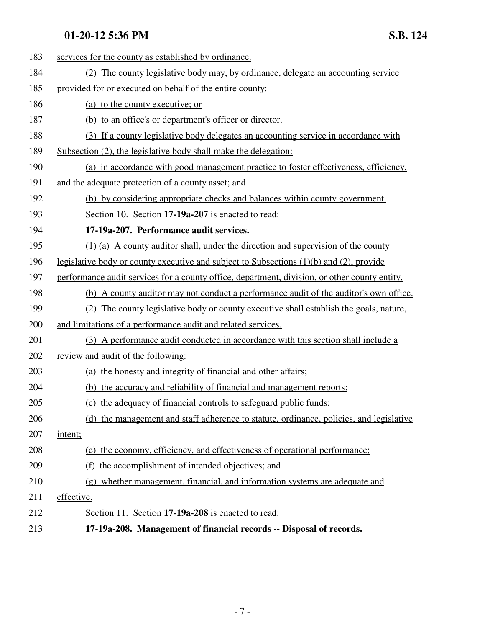| 183 | services for the county as established by ordinance.                                          |
|-----|-----------------------------------------------------------------------------------------------|
| 184 | (2) The county legislative body may, by ordinance, delegate an accounting service             |
| 185 | provided for or executed on behalf of the entire county:                                      |
| 186 | (a) to the county executive; or                                                               |
| 187 | (b) to an office's or department's officer or director.                                       |
| 188 | (3) If a county legislative body delegates an accounting service in accordance with           |
| 189 | Subsection (2), the legislative body shall make the delegation:                               |
| 190 | (a) in accordance with good management practice to foster effectiveness, efficiency,          |
| 191 | and the adequate protection of a county asset; and                                            |
| 192 | (b) by considering appropriate checks and balances within county government.                  |
| 193 | Section 10. Section 17-19a-207 is enacted to read:                                            |
| 194 | 17-19a-207. Performance audit services.                                                       |
| 195 | $(1)$ (a) A county auditor shall, under the direction and supervision of the county           |
| 196 | legislative body or county executive and subject to Subsections $(1)(b)$ and $(2)$ , provide  |
| 197 | performance audit services for a county office, department, division, or other county entity. |
| 198 | (b) A county auditor may not conduct a performance audit of the auditor's own office.         |
| 199 | (2) The county legislative body or county executive shall establish the goals, nature,        |
| 200 | and limitations of a performance audit and related services.                                  |
| 201 | (3) A performance audit conducted in accordance with this section shall include a             |
| 202 | review and audit of the following:                                                            |
| 203 | (a) the honesty and integrity of financial and other affairs;                                 |
| 204 | (b) the accuracy and reliability of financial and management reports;                         |
| 205 | (c) the adequacy of financial controls to safeguard public funds;                             |
| 206 | (d) the management and staff adherence to statute, ordinance, policies, and legislative       |
| 207 | intent;                                                                                       |
| 208 | (e) the economy, efficiency, and effectiveness of operational performance;                    |
| 209 | (f) the accomplishment of intended objectives; and                                            |
| 210 | (g) whether management, financial, and information systems are adequate and                   |
| 211 | effective.                                                                                    |
| 212 | Section 11. Section 17-19a-208 is enacted to read:                                            |
| 213 | 17-19a-208. Management of financial records -- Disposal of records.                           |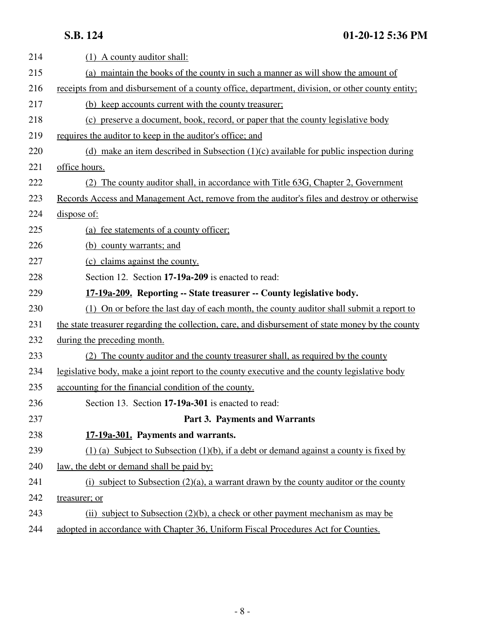| 214 | (1) A county auditor shall:                                                                       |
|-----|---------------------------------------------------------------------------------------------------|
| 215 | (a) maintain the books of the county in such a manner as will show the amount of                  |
| 216 | receipts from and disbursement of a county office, department, division, or other county entity;  |
| 217 | (b) keep accounts current with the county treasurer.                                              |
| 218 | (c) preserve a document, book, record, or paper that the county legislative body                  |
| 219 | requires the auditor to keep in the auditor's office; and                                         |
| 220 | (d) make an item described in Subsection $(1)(c)$ available for public inspection during          |
| 221 | office hours.                                                                                     |
| 222 | (2) The county auditor shall, in accordance with Title 63G, Chapter 2, Government                 |
| 223 | Records Access and Management Act, remove from the auditor's files and destroy or otherwise       |
| 224 | dispose of:                                                                                       |
| 225 | (a) fee statements of a county officer;                                                           |
| 226 | (b) county warrants; and                                                                          |
| 227 | (c) claims against the county.                                                                    |
| 228 | Section 12. Section 17-19a-209 is enacted to read:                                                |
| 229 | 17-19a-209. Reporting -- State treasurer -- County legislative body.                              |
| 230 | (1) On or before the last day of each month, the county auditor shall submit a report to          |
| 231 | the state treasurer regarding the collection, care, and disbursement of state money by the county |
| 232 | during the preceding month.                                                                       |
| 233 | (2) The county auditor and the county treasurer shall, as required by the county                  |
| 234 | legislative body, make a joint report to the county executive and the county legislative body     |
| 235 | accounting for the financial condition of the county.                                             |
| 236 | Section 13. Section 17-19a-301 is enacted to read:                                                |
| 237 | Part 3. Payments and Warrants                                                                     |
| 238 | 17-19a-301. Payments and warrants.                                                                |
| 239 | $(1)$ (a) Subject to Subsection (1)(b), if a debt or demand against a county is fixed by          |
| 240 | <u>law, the debt or demand shall be paid by:</u>                                                  |
| 241 | (i) subject to Subsection $(2)(a)$ , a warrant drawn by the county auditor or the county          |
| 242 | treasurer; or                                                                                     |
| 243 | (ii) subject to Subsection $(2)(b)$ , a check or other payment mechanism as may be                |
| 244 | adopted in accordance with Chapter 36, Uniform Fiscal Procedures Act for Counties.                |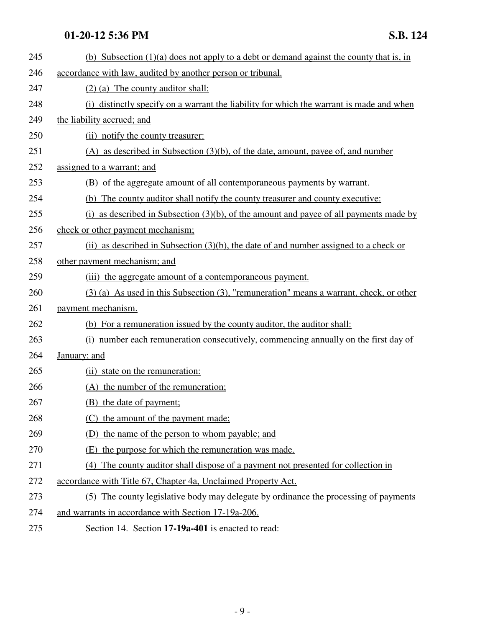| 245 | (b) Subsection $(1)(a)$ does not apply to a debt or demand against the county that is, in   |
|-----|---------------------------------------------------------------------------------------------|
| 246 | accordance with law, audited by another person or tribunal.                                 |
| 247 | $(2)$ (a) The county auditor shall:                                                         |
| 248 | (i) distinctly specify on a warrant the liability for which the warrant is made and when    |
| 249 | the liability accrued; and                                                                  |
| 250 | (ii) notify the county treasurer:                                                           |
| 251 | $(A)$ as described in Subsection $(3)(b)$ , of the date, amount, payee of, and number       |
| 252 | assigned to a warrant; and                                                                  |
| 253 | (B) of the aggregate amount of all contemporaneous payments by warrant.                     |
| 254 | (b) The county auditor shall notify the county treasurer and county executive:              |
| 255 | $(i)$ as described in Subsection $(3)(b)$ , of the amount and payee of all payments made by |
| 256 | check or other payment mechanism;                                                           |
| 257 | (ii) as described in Subsection $(3)(b)$ , the date of and number assigned to a check or    |
| 258 | other payment mechanism; and                                                                |
| 259 | (iii) the aggregate amount of a contemporaneous payment.                                    |
| 260 | $(3)$ (a) As used in this Subsection (3), "remuneration" means a warrant, check, or other   |
| 261 | payment mechanism.                                                                          |
| 262 | (b) For a remuneration issued by the county auditor, the auditor shall:                     |
| 263 | (i) number each remuneration consecutively, commencing annually on the first day of         |
| 264 | January; and                                                                                |
| 265 | (ii) state on the remuneration:                                                             |
| 266 | (A) the number of the remuneration;                                                         |
| 267 | (B) the date of payment;                                                                    |
| 268 | (C) the amount of the payment made:                                                         |
| 269 | (D) the name of the person to whom payable; and                                             |
| 270 | (E) the purpose for which the remuneration was made.                                        |
| 271 | (4) The county auditor shall dispose of a payment not presented for collection in           |
| 272 | accordance with Title 67, Chapter 4a, Unclaimed Property Act.                               |
| 273 | (5) The county legislative body may delegate by ordinance the processing of payments        |
| 274 | and warrants in accordance with Section 17-19a-206.                                         |
| 275 | Section 14. Section 17-19a-401 is enacted to read:                                          |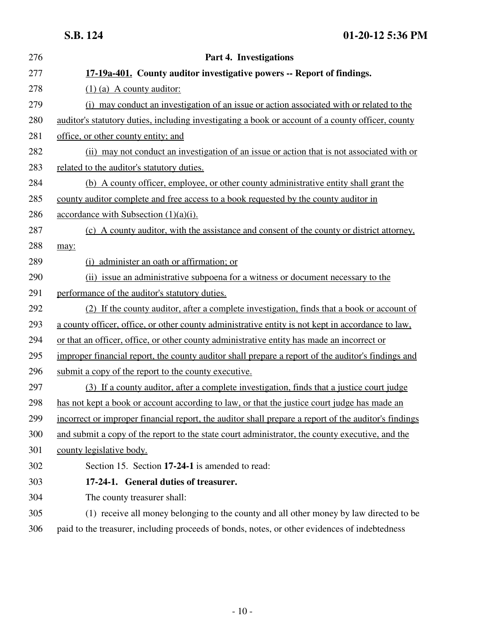| 276 | Part 4. Investigations                                                                               |
|-----|------------------------------------------------------------------------------------------------------|
| 277 | 17-19a-401. County auditor investigative powers -- Report of findings.                               |
| 278 | $(1)$ (a) A county auditor:                                                                          |
| 279 | (i) may conduct an investigation of an issue or action associated with or related to the             |
| 280 | auditor's statutory duties, including investigating a book or account of a county officer, county    |
| 281 | office, or other county entity; and                                                                  |
| 282 | (ii) may not conduct an investigation of an issue or action that is not associated with or           |
| 283 | related to the auditor's statutory duties.                                                           |
| 284 | (b) A county officer, employee, or other county administrative entity shall grant the                |
| 285 | county auditor complete and free access to a book requested by the county auditor in                 |
| 286 | accordance with Subsection $(1)(a)(i)$ .                                                             |
| 287 | (c) A county auditor, with the assistance and consent of the county or district attorney,            |
| 288 | may:                                                                                                 |
| 289 | (i) administer an oath or affirmation; or                                                            |
| 290 | (ii) issue an administrative subpoena for a witness or document necessary to the                     |
| 291 | performance of the auditor's statutory duties.                                                       |
| 292 | (2) If the county auditor, after a complete investigation, finds that a book or account of           |
| 293 | a county officer, office, or other county administrative entity is not kept in accordance to law,    |
| 294 | or that an officer, office, or other county administrative entity has made an incorrect or           |
| 295 | improper financial report, the county auditor shall prepare a report of the auditor's findings and   |
| 296 | submit a copy of the report to the county executive.                                                 |
| 297 | (3) If a county auditor, after a complete investigation, finds that a justice court judge            |
| 298 | has not kept a book or account according to law, or that the justice court judge has made an         |
| 299 | incorrect or improper financial report, the auditor shall prepare a report of the auditor's findings |
| 300 | and submit a copy of the report to the state court administrator, the county executive, and the      |
| 301 | county legislative body.                                                                             |
| 302 | Section 15. Section 17-24-1 is amended to read:                                                      |
| 303 | 17-24-1. General duties of treasurer.                                                                |
| 304 | The county treasurer shall:                                                                          |
| 305 | (1) receive all money belonging to the county and all other money by law directed to be              |
| 306 | paid to the treasurer, including proceeds of bonds, notes, or other evidences of indebtedness        |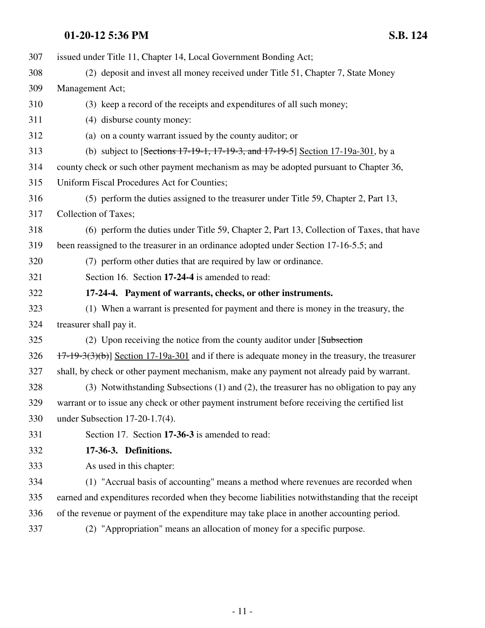| 307 | issued under Title 11, Chapter 14, Local Government Bonding Act;                                   |
|-----|----------------------------------------------------------------------------------------------------|
| 308 | (2) deposit and invest all money received under Title 51, Chapter 7, State Money                   |
| 309 | Management Act;                                                                                    |
| 310 | (3) keep a record of the receipts and expenditures of all such money;                              |
| 311 | (4) disburse county money:                                                                         |
| 312 | (a) on a county warrant issued by the county auditor; or                                           |
| 313 | (b) subject to [Sections $17-19-1$ , $17-19-3$ , and $17-19-5$ ] Section $17-19a-301$ , by a       |
| 314 | county check or such other payment mechanism as may be adopted pursuant to Chapter 36,             |
| 315 | Uniform Fiscal Procedures Act for Counties;                                                        |
| 316 | (5) perform the duties assigned to the treasurer under Title 59, Chapter 2, Part 13,               |
| 317 | Collection of Taxes;                                                                               |
| 318 | (6) perform the duties under Title 59, Chapter 2, Part 13, Collection of Taxes, that have          |
| 319 | been reassigned to the treasurer in an ordinance adopted under Section 17-16-5.5; and              |
| 320 | (7) perform other duties that are required by law or ordinance.                                    |
| 321 | Section 16. Section 17-24-4 is amended to read:                                                    |
| 322 | 17-24-4. Payment of warrants, checks, or other instruments.                                        |
| 323 | (1) When a warrant is presented for payment and there is money in the treasury, the                |
| 324 | treasurer shall pay it.                                                                            |
| 325 | (2) Upon receiving the notice from the county auditor under [Subsection]                           |
| 326 | $17-19-3(3)(b)$ ] Section 17-19a-301 and if there is adequate money in the treasury, the treasurer |
| 327 | shall, by check or other payment mechanism, make any payment not already paid by warrant.          |
| 328 | (3) Notwithstanding Subsections (1) and (2), the treasurer has no obligation to pay any            |
| 329 | warrant or to issue any check or other payment instrument before receiving the certified list      |
| 330 | under Subsection $17-20-1.7(4)$ .                                                                  |
| 331 | Section 17. Section 17-36-3 is amended to read:                                                    |
| 332 | 17-36-3. Definitions.                                                                              |
| 333 | As used in this chapter:                                                                           |
| 334 | (1) "Accrual basis of accounting" means a method where revenues are recorded when                  |
| 335 | earned and expenditures recorded when they become liabilities notwithstanding that the receipt     |
| 336 | of the revenue or payment of the expenditure may take place in another accounting period.          |
| 337 | (2) "Appropriation" means an allocation of money for a specific purpose.                           |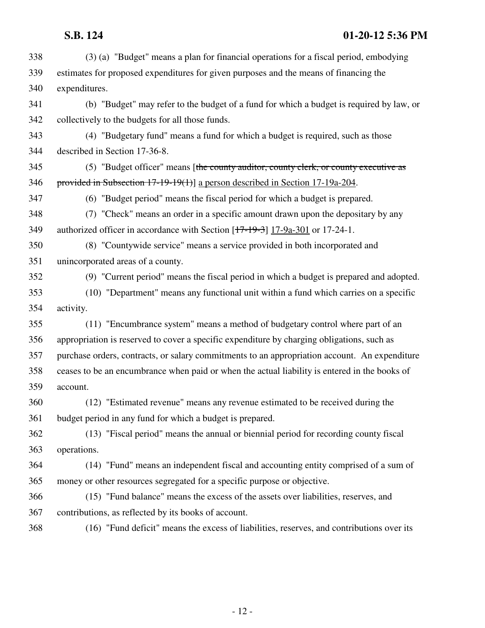| 338 | (3) (a) "Budget" means a plan for financial operations for a fiscal period, embodying         |
|-----|-----------------------------------------------------------------------------------------------|
| 339 | estimates for proposed expenditures for given purposes and the means of financing the         |
| 340 | expenditures.                                                                                 |
| 341 | (b) "Budget" may refer to the budget of a fund for which a budget is required by law, or      |
| 342 | collectively to the budgets for all those funds.                                              |
| 343 | (4) "Budgetary fund" means a fund for which a budget is required, such as those               |
| 344 | described in Section 17-36-8.                                                                 |
| 345 | (5) "Budget officer" means [the county auditor, county clerk, or county executive as          |
| 346 | provided in Subsection $17-19-19(1)$ a person described in Section $17-19a-204$ .             |
| 347 | (6) "Budget period" means the fiscal period for which a budget is prepared.                   |
| 348 | (7) "Check" means an order in a specific amount drawn upon the depositary by any              |
| 349 | authorized officer in accordance with Section [17-19-3] 17-9a-301 or 17-24-1.                 |
| 350 | (8) "Countywide service" means a service provided in both incorporated and                    |
| 351 | unincorporated areas of a county.                                                             |
| 352 | (9) "Current period" means the fiscal period in which a budget is prepared and adopted.       |
| 353 | (10) "Department" means any functional unit within a fund which carries on a specific         |
| 354 | activity.                                                                                     |
| 355 | (11) "Encumbrance system" means a method of budgetary control where part of an                |
| 356 | appropriation is reserved to cover a specific expenditure by charging obligations, such as    |
| 357 | purchase orders, contracts, or salary commitments to an appropriation account. An expenditure |
| 358 | ceases to be an encumbrance when paid or when the actual liability is entered in the books of |
| 359 | account.                                                                                      |
| 360 | (12) "Estimated revenue" means any revenue estimated to be received during the                |
| 361 | budget period in any fund for which a budget is prepared.                                     |
| 362 | (13) "Fiscal period" means the annual or biennial period for recording county fiscal          |
| 363 | operations.                                                                                   |
| 364 | (14) "Fund" means an independent fiscal and accounting entity comprised of a sum of           |
| 365 | money or other resources segregated for a specific purpose or objective.                      |
| 366 | (15) "Fund balance" means the excess of the assets over liabilities, reserves, and            |
| 367 | contributions, as reflected by its books of account.                                          |
| 368 | (16) "Fund deficit" means the excess of liabilities, reserves, and contributions over its     |
|     |                                                                                               |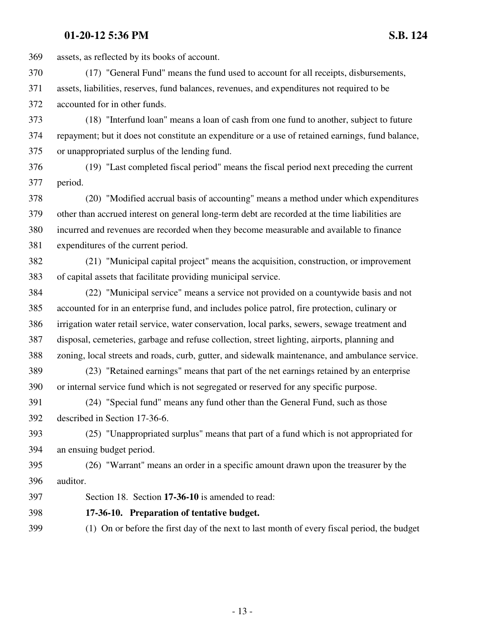369 assets, as reflected by its books of account.

370 (17) "General Fund" means the fund used to account for all receipts, disbursements, 371 assets, liabilities, reserves, fund balances, revenues, and expenditures not required to be 372 accounted for in other funds.

373 (18) "Interfund loan" means a loan of cash from one fund to another, subject to future 374 repayment; but it does not constitute an expenditure or a use of retained earnings, fund balance, 375 or unappropriated surplus of the lending fund.

376 (19) "Last completed fiscal period" means the fiscal period next preceding the current 377 period.

378 (20) "Modified accrual basis of accounting" means a method under which expenditures 379 other than accrued interest on general long-term debt are recorded at the time liabilities are 380 incurred and revenues are recorded when they become measurable and available to finance 381 expenditures of the current period.

382 (21) "Municipal capital project" means the acquisition, construction, or improvement 383 of capital assets that facilitate providing municipal service.

384 (22) "Municipal service" means a service not provided on a countywide basis and not 385 accounted for in an enterprise fund, and includes police patrol, fire protection, culinary or 386 irrigation water retail service, water conservation, local parks, sewers, sewage treatment and 387 disposal, cemeteries, garbage and refuse collection, street lighting, airports, planning and 388 zoning, local streets and roads, curb, gutter, and sidewalk maintenance, and ambulance service.

389 (23) "Retained earnings" means that part of the net earnings retained by an enterprise 390 or internal service fund which is not segregated or reserved for any specific purpose.

391 (24) "Special fund" means any fund other than the General Fund, such as those 392 described in Section 17-36-6.

393 (25) "Unappropriated surplus" means that part of a fund which is not appropriated for 394 an ensuing budget period.

395 (26) "Warrant" means an order in a specific amount drawn upon the treasurer by the 396 auditor.

397 Section 18. Section **17-36-10** is amended to read:

398 **17-36-10. Preparation of tentative budget.**

399 (1) On or before the first day of the next to last month of every fiscal period, the budget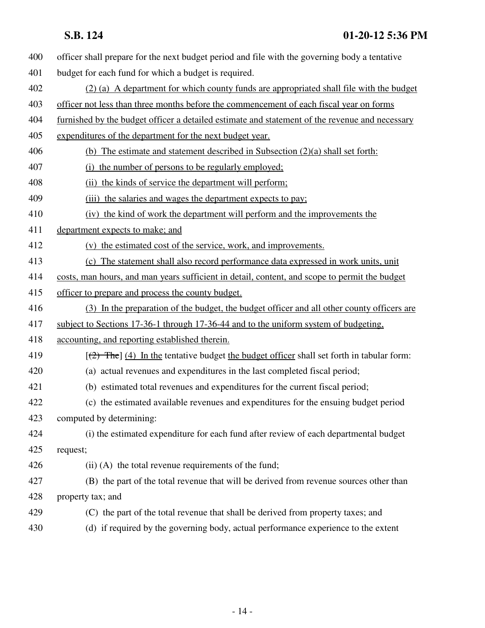- 400 officer shall prepare for the next budget period and file with the governing body a tentative
- 401 budget for each fund for which a budget is required.
- 402 (2) (a) A department for which county funds are appropriated shall file with the budget
- 403 officer not less than three months before the commencement of each fiscal year on forms
- 404 furnished by the budget officer a detailed estimate and statement of the revenue and necessary
- 405 expenditures of the department for the next budget year.
- 406 (b) The estimate and statement described in Subsection (2)(a) shall set forth:
- 407 (i) the number of persons to be regularly employed;
- 408 (ii) the kinds of service the department will perform;
- 409 (iii) the salaries and wages the department expects to pay;
- 410 (iv) the kind of work the department will perform and the improvements the
- 411 department expects to make; and
- 412 (v) the estimated cost of the service, work, and improvements.
- 413 (c) The statement shall also record performance data expressed in work units, unit
- 414 costs, man hours, and man years sufficient in detail, content, and scope to permit the budget
- 415 officer to prepare and process the county budget.
- 416 (3) In the preparation of the budget, the budget officer and all other county officers are
- 417 subject to Sections 17-36-1 through 17-36-44 and to the uniform system of budgeting,
- 418 accounting, and reporting established therein.
- 419  $\left[\frac{1}{2} + \frac{1}{2}\right]$  [4) In the tentative budget the budget officer shall set forth in tabular form:
- 420 (a) actual revenues and expenditures in the last completed fiscal period;
- 421 (b) estimated total revenues and expenditures for the current fiscal period;
- 422 (c) the estimated available revenues and expenditures for the ensuing budget period 423 computed by determining:
- 424 (i) the estimated expenditure for each fund after review of each departmental budget 425 request;
- 426 (ii) (A) the total revenue requirements of the fund;
- 427 (B) the part of the total revenue that will be derived from revenue sources other than 428 property tax; and
- 429 (C) the part of the total revenue that shall be derived from property taxes; and
- 430 (d) if required by the governing body, actual performance experience to the extent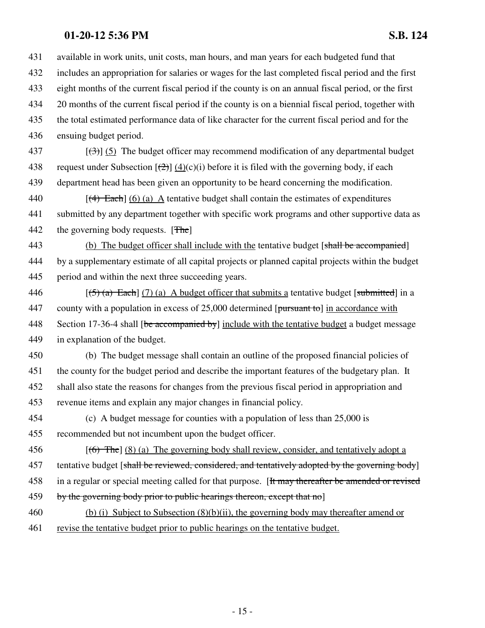431 available in work units, unit costs, man hours, and man years for each budgeted fund that

432 includes an appropriation for salaries or wages for the last completed fiscal period and the first

433 eight months of the current fiscal period if the county is on an annual fiscal period, or the first

434 20 months of the current fiscal period if the county is on a biennial fiscal period, together with

435 the total estimated performance data of like character for the current fiscal period and for the

436 ensuing budget period.

437  $\left[\left(\frac{4}{3}\right)\right]$  (5) The budget officer may recommend modification of any departmental budget 438 request under Subsection  $[\frac{(2)}{(2)}]$  (4)(c)(i) before it is filed with the governing body, if each 439 department head has been given an opportunity to be heard concerning the modification.

440  $[(4)$  Each  $(6)$  (a) A tentative budget shall contain the estimates of expenditures 441 submitted by any department together with specific work programs and other supportive data as 442 the governing body requests. [The]

443 (b) The budget officer shall include with the tentative budget [shall be accompanied] 444 by a supplementary estimate of all capital projects or planned capital projects within the budget 445 period and within the next three succeeding years.

446  $[(5)$  (a) Each] (7) (a) A budget officer that submits a tentative budget [submitted] in a 447 county with a population in excess of 25,000 determined [pursuant to] in accordance with 448 Section 17-36-4 shall [be accompanied by] include with the tentative budget a budget message 449 in explanation of the budget.

450 (b) The budget message shall contain an outline of the proposed financial policies of 451 the county for the budget period and describe the important features of the budgetary plan. It 452 shall also state the reasons for changes from the previous fiscal period in appropriation and 453 revenue items and explain any major changes in financial policy.

454 (c) A budget message for counties with a population of less than 25,000 is 455 recommended but not incumbent upon the budget officer.

456  $[(6)$  The] (8) (a) The governing body shall review, consider, and tentatively adopt a 457 tentative budget [shall be reviewed, considered, and tentatively adopted by the governing body] 458 in a regular or special meeting called for that purpose. [It may thereafter be amended or revised 459 by the governing body prior to public hearings thereon, except that no

460 (b) (i) Subject to Subsection (8)(b)(ii), the governing body may thereafter amend or

461 revise the tentative budget prior to public hearings on the tentative budget.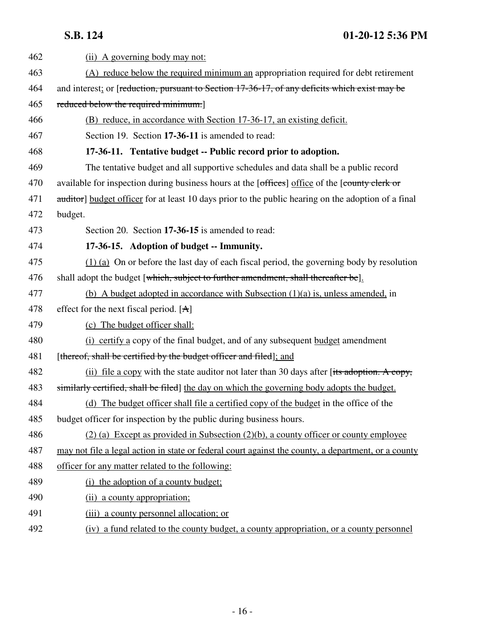| 462 | (ii) A governing body may not:                                                                      |  |  |
|-----|-----------------------------------------------------------------------------------------------------|--|--|
| 463 | (A) reduce below the required minimum an appropriation required for debt retirement                 |  |  |
| 464 | and interest; or [reduction, pursuant to Section 17-36-17, of any deficits which exist may be       |  |  |
| 465 | reduced below the required minimum.]                                                                |  |  |
| 466 | (B) reduce, in accordance with Section 17-36-17, an existing deficit.                               |  |  |
| 467 | Section 19. Section 17-36-11 is amended to read:                                                    |  |  |
| 468 | 17-36-11. Tentative budget -- Public record prior to adoption.                                      |  |  |
| 469 | The tentative budget and all supportive schedules and data shall be a public record                 |  |  |
| 470 | available for inspection during business hours at the [offices] office of the [county clerk or      |  |  |
| 471 | auditor] budget officer for at least 10 days prior to the public hearing on the adoption of a final |  |  |
| 472 | budget.                                                                                             |  |  |
| 473 | Section 20. Section 17-36-15 is amended to read:                                                    |  |  |
| 474 | 17-36-15. Adoption of budget -- Immunity.                                                           |  |  |
| 475 | $(1)$ (a) On or before the last day of each fiscal period, the governing body by resolution         |  |  |
| 476 | shall adopt the budget [which, subject to further amendment, shall thereafter be].                  |  |  |
| 477 | (b) A budget adopted in accordance with Subsection $(1)(a)$ is, unless amended, in                  |  |  |
| 478 | effect for the next fiscal period. $[A]$                                                            |  |  |
| 479 | (c) The budget officer shall:                                                                       |  |  |
| 480 | (i) certify a copy of the final budget, and of any subsequent budget amendment                      |  |  |
| 481 | [thereof, shall be certified by the budget officer and filed]; and                                  |  |  |
| 482 | (ii) file a copy with the state auditor not later than 30 days after $[tits$ adoption. A copy,      |  |  |
| 483 | similarly certified, shall be filed the day on which the governing body adopts the budget.          |  |  |
| 484 | (d) The budget officer shall file a certified copy of the budget in the office of the               |  |  |
| 485 | budget officer for inspection by the public during business hours.                                  |  |  |
| 486 | $(2)$ (a) Except as provided in Subsection (2)(b), a county officer or county employee              |  |  |
| 487 | may not file a legal action in state or federal court against the county, a department, or a county |  |  |
| 488 | officer for any matter related to the following:                                                    |  |  |
| 489 | (i) the adoption of a county budget;                                                                |  |  |
| 490 | (ii) a county appropriation;                                                                        |  |  |
| 491 | (iii) a county personnel allocation; or                                                             |  |  |
| 492 | (iv) a fund related to the county budget, a county appropriation, or a county personnel             |  |  |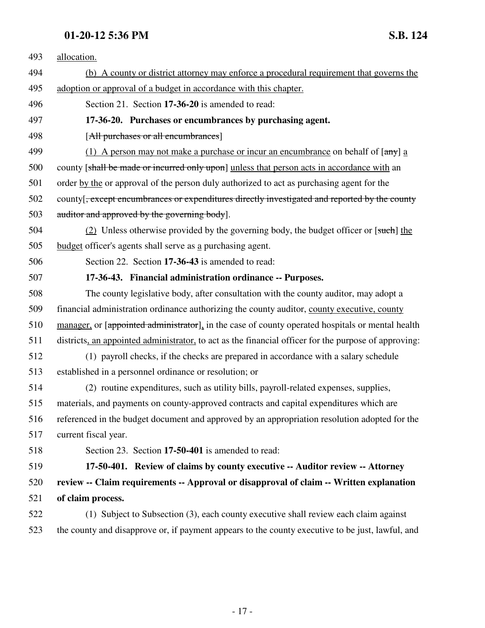| 493 | allocation.                                                                                                            |  |  |
|-----|------------------------------------------------------------------------------------------------------------------------|--|--|
| 494 | (b) A county or district attorney may enforce a procedural requirement that governs the                                |  |  |
| 495 | adoption or approval of a budget in accordance with this chapter.                                                      |  |  |
| 496 | Section 21. Section 17-36-20 is amended to read:                                                                       |  |  |
| 497 | 17-36-20. Purchases or encumbrances by purchasing agent.                                                               |  |  |
| 498 | [All purchases or all encumbrances]                                                                                    |  |  |
| 499 | (1) A person may not make a purchase or incur an encumbrance on behalf of $\left[\frac{\text{any}}{\text{a}}\right]$ a |  |  |
| 500 | county [shall be made or incurred only upon] unless that person acts in accordance with an                             |  |  |
| 501 | order by the or approval of the person duly authorized to act as purchasing agent for the                              |  |  |
| 502 | county [ <del>, except encumbrances or expenditures directly investigated and reported by the county</del>             |  |  |
| 503 | auditor and approved by the governing body].                                                                           |  |  |
| 504 | (2) Unless otherwise provided by the governing body, the budget officer or [such] the                                  |  |  |
| 505 | budget officer's agents shall serve as a purchasing agent.                                                             |  |  |
| 506 | Section 22. Section 17-36-43 is amended to read:                                                                       |  |  |
| 507 | 17-36-43. Financial administration ordinance -- Purposes.                                                              |  |  |
| 508 | The county legislative body, after consultation with the county auditor, may adopt a                                   |  |  |
| 509 | financial administration ordinance authorizing the county auditor, county executive, county                            |  |  |
| 510 | manager, or [appointed administrator], in the case of county operated hospitals or mental health                       |  |  |
| 511 | districts, an appointed administrator, to act as the financial officer for the purpose of approving:                   |  |  |
| 512 | (1) payroll checks, if the checks are prepared in accordance with a salary schedule                                    |  |  |
| 513 | established in a personnel ordinance or resolution; or                                                                 |  |  |
| 514 | (2) routine expenditures, such as utility bills, payroll-related expenses, supplies,                                   |  |  |
| 515 | materials, and payments on county-approved contracts and capital expenditures which are                                |  |  |
| 516 | referenced in the budget document and approved by an appropriation resolution adopted for the                          |  |  |
| 517 | current fiscal year.                                                                                                   |  |  |
| 518 | Section 23. Section 17-50-401 is amended to read:                                                                      |  |  |
| 519 | 17-50-401. Review of claims by county executive -- Auditor review -- Attorney                                          |  |  |
| 520 | review -- Claim requirements -- Approval or disapproval of claim -- Written explanation                                |  |  |
| 521 | of claim process.                                                                                                      |  |  |
| 522 | (1) Subject to Subsection (3), each county executive shall review each claim against                                   |  |  |
| 523 | the county and disapprove or, if payment appears to the county executive to be just, lawful, and                       |  |  |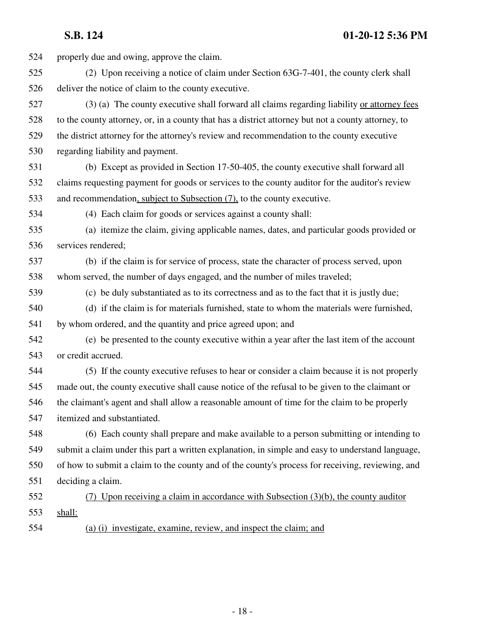524 properly due and owing, approve the claim. 525 (2) Upon receiving a notice of claim under Section 63G-7-401, the county clerk shall 526 deliver the notice of claim to the county executive. 527 (3) (a) The county executive shall forward all claims regarding liability or attorney fees 528 to the county attorney, or, in a county that has a district attorney but not a county attorney, to 529 the district attorney for the attorney's review and recommendation to the county executive 530 regarding liability and payment. 531 (b) Except as provided in Section 17-50-405, the county executive shall forward all 532 claims requesting payment for goods or services to the county auditor for the auditor's review 533 and recommendation, subject to Subsection (7), to the county executive. 534 (4) Each claim for goods or services against a county shall: 535 (a) itemize the claim, giving applicable names, dates, and particular goods provided or 536 services rendered; 537 (b) if the claim is for service of process, state the character of process served, upon 538 whom served, the number of days engaged, and the number of miles traveled; 539 (c) be duly substantiated as to its correctness and as to the fact that it is justly due; 540 (d) if the claim is for materials furnished, state to whom the materials were furnished, 541 by whom ordered, and the quantity and price agreed upon; and 542 (e) be presented to the county executive within a year after the last item of the account 543 or credit accrued. 544 (5) If the county executive refuses to hear or consider a claim because it is not properly 545 made out, the county executive shall cause notice of the refusal to be given to the claimant or 546 the claimant's agent and shall allow a reasonable amount of time for the claim to be properly 547 itemized and substantiated. 548 (6) Each county shall prepare and make available to a person submitting or intending to 549 submit a claim under this part a written explanation, in simple and easy to understand language, 550 of how to submit a claim to the county and of the county's process for receiving, reviewing, and 551 deciding a claim. 552 (7) Upon receiving a claim in accordance with Subsection (3)(b), the county auditor 553 shall: 554 (a) (i) investigate, examine, review, and inspect the claim; and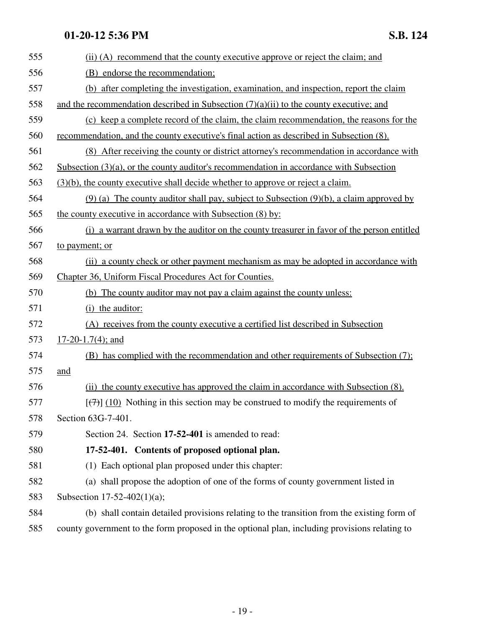| 555 | (ii) (A) recommend that the county executive approve or reject the claim; and                          |  |  |
|-----|--------------------------------------------------------------------------------------------------------|--|--|
| 556 | (B) endorse the recommendation;                                                                        |  |  |
| 557 | (b) after completing the investigation, examination, and inspection, report the claim                  |  |  |
| 558 | and the recommendation described in Subsection $(7)(a)(ii)$ to the county executive; and               |  |  |
| 559 | (c) keep a complete record of the claim, the claim recommendation, the reasons for the                 |  |  |
| 560 | recommendation, and the county executive's final action as described in Subsection (8).                |  |  |
| 561 | (8) After receiving the county or district attorney's recommendation in accordance with                |  |  |
| 562 | Subsection $(3)(a)$ , or the county auditor's recommendation in accordance with Subsection             |  |  |
| 563 | $(3)(b)$ , the county executive shall decide whether to approve or reject a claim.                     |  |  |
| 564 | $(9)$ (a) The county auditor shall pay, subject to Subsection $(9)(b)$ , a claim approved by           |  |  |
| 565 | the county executive in accordance with Subsection (8) by:                                             |  |  |
| 566 | (i) a warrant drawn by the auditor on the county treasurer in favor of the person entitled             |  |  |
| 567 | to payment; or                                                                                         |  |  |
| 568 | (ii) a county check or other payment mechanism as may be adopted in accordance with                    |  |  |
| 569 | Chapter 36, Uniform Fiscal Procedures Act for Counties.                                                |  |  |
| 570 | (b) The county auditor may not pay a claim against the county unless:                                  |  |  |
| 571 | (i) the auditor:                                                                                       |  |  |
| 572 | (A) receives from the county executive a certified list described in Subsection                        |  |  |
| 573 | $17-20-1.7(4)$ ; and                                                                                   |  |  |
| 574 | (B) has complied with the recommendation and other requirements of Subsection (7);                     |  |  |
| 575 | and                                                                                                    |  |  |
| 576 | (ii) the county executive has approved the claim in accordance with Subsection (8).                    |  |  |
| 577 | $\left[\frac{7}{7}\right]$ (10) Nothing in this section may be construed to modify the requirements of |  |  |
| 578 | Section 63G-7-401.                                                                                     |  |  |
| 579 | Section 24. Section 17-52-401 is amended to read:                                                      |  |  |
| 580 | 17-52-401. Contents of proposed optional plan.                                                         |  |  |
| 581 | (1) Each optional plan proposed under this chapter:                                                    |  |  |
| 582 | (a) shall propose the adoption of one of the forms of county government listed in                      |  |  |
| 583 | Subsection 17-52-402(1)(a);                                                                            |  |  |
| 584 | (b) shall contain detailed provisions relating to the transition from the existing form of             |  |  |
| 585 | county government to the form proposed in the optional plan, including provisions relating to          |  |  |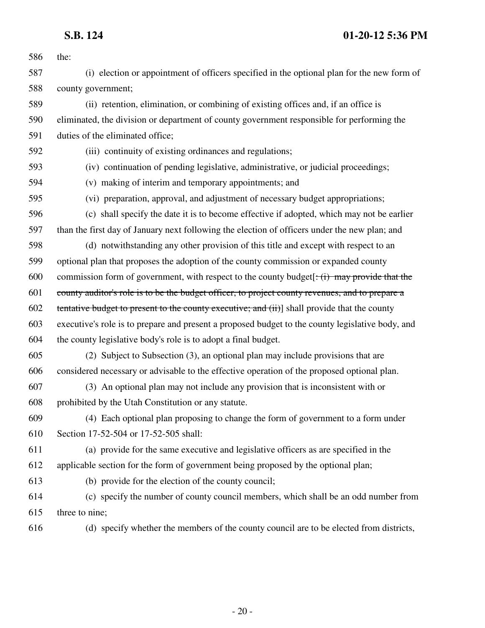| 586 | the:                                                                                                             |  |  |  |
|-----|------------------------------------------------------------------------------------------------------------------|--|--|--|
| 587 | (i) election or appointment of officers specified in the optional plan for the new form of                       |  |  |  |
| 588 | county government;                                                                                               |  |  |  |
| 589 | (ii) retention, elimination, or combining of existing offices and, if an office is                               |  |  |  |
| 590 | eliminated, the division or department of county government responsible for performing the                       |  |  |  |
| 591 | duties of the eliminated office;                                                                                 |  |  |  |
| 592 | (iii) continuity of existing ordinances and regulations;                                                         |  |  |  |
| 593 | (iv) continuation of pending legislative, administrative, or judicial proceedings;                               |  |  |  |
| 594 | (v) making of interim and temporary appointments; and                                                            |  |  |  |
| 595 | (vi) preparation, approval, and adjustment of necessary budget appropriations;                                   |  |  |  |
| 596 | (c) shall specify the date it is to become effective if adopted, which may not be earlier                        |  |  |  |
| 597 | than the first day of January next following the election of officers under the new plan; and                    |  |  |  |
| 598 | (d) notwithstanding any other provision of this title and except with respect to an                              |  |  |  |
| 599 | optional plan that proposes the adoption of the county commission or expanded county                             |  |  |  |
| 600 | commission form of government, with respect to the county budget $\left(\frac{1}{1}\right)$ may provide that the |  |  |  |
| 601 | county auditor's role is to be the budget officer, to project county revenues, and to prepare a                  |  |  |  |
| 602 | tentative budget to present to the county executive; and (ii)] shall provide that the county                     |  |  |  |
| 603 | executive's role is to prepare and present a proposed budget to the county legislative body, and                 |  |  |  |
| 604 | the county legislative body's role is to adopt a final budget.                                                   |  |  |  |
| 605 | (2) Subject to Subsection (3), an optional plan may include provisions that are                                  |  |  |  |
| 606 | considered necessary or advisable to the effective operation of the proposed optional plan.                      |  |  |  |
| 607 | (3) An optional plan may not include any provision that is inconsistent with or                                  |  |  |  |
| 608 | prohibited by the Utah Constitution or any statute.                                                              |  |  |  |
| 609 | (4) Each optional plan proposing to change the form of government to a form under                                |  |  |  |
| 610 | Section 17-52-504 or 17-52-505 shall:                                                                            |  |  |  |
| 611 | (a) provide for the same executive and legislative officers as are specified in the                              |  |  |  |
| 612 | applicable section for the form of government being proposed by the optional plan;                               |  |  |  |
| 613 | (b) provide for the election of the county council;                                                              |  |  |  |
| 614 | (c) specify the number of county council members, which shall be an odd number from                              |  |  |  |
| 615 | three to nine;                                                                                                   |  |  |  |
| 616 | (d) specify whether the members of the county council are to be elected from districts,                          |  |  |  |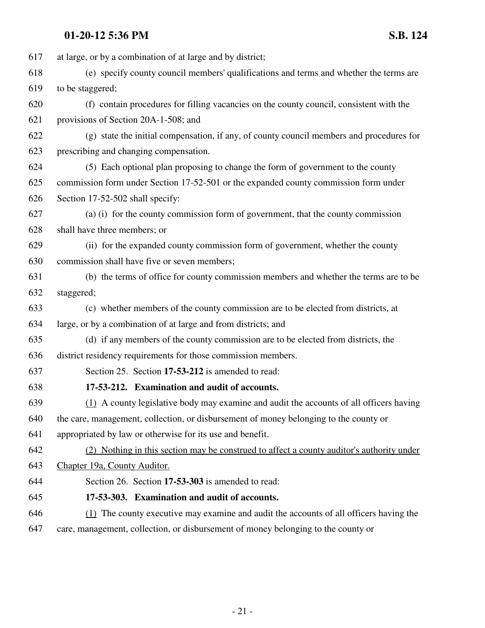| 617 | at large, or by a combination of at large and by district;                                |  |  |  |  |  |
|-----|-------------------------------------------------------------------------------------------|--|--|--|--|--|
| 618 | (e) specify county council members' qualifications and terms and whether the terms are    |  |  |  |  |  |
| 619 | to be staggered;                                                                          |  |  |  |  |  |
| 620 | (f) contain procedures for filling vacancies on the county council, consistent with the   |  |  |  |  |  |
| 621 | provisions of Section 20A-1-508; and                                                      |  |  |  |  |  |
| 622 | (g) state the initial compensation, if any, of county council members and procedures for  |  |  |  |  |  |
| 623 | prescribing and changing compensation.                                                    |  |  |  |  |  |
| 624 | (5) Each optional plan proposing to change the form of government to the county           |  |  |  |  |  |
| 625 | commission form under Section 17-52-501 or the expanded county commission form under      |  |  |  |  |  |
| 626 | Section 17-52-502 shall specify:                                                          |  |  |  |  |  |
| 627 | (a) (i) for the county commission form of government, that the county commission          |  |  |  |  |  |
| 628 | shall have three members; or                                                              |  |  |  |  |  |
| 629 | (ii) for the expanded county commission form of government, whether the county            |  |  |  |  |  |
| 630 | commission shall have five or seven members;                                              |  |  |  |  |  |
| 631 | (b) the terms of office for county commission members and whether the terms are to be     |  |  |  |  |  |
| 632 | staggered;                                                                                |  |  |  |  |  |
| 633 | (c) whether members of the county commission are to be elected from districts, at         |  |  |  |  |  |
| 634 | large, or by a combination of at large and from districts; and                            |  |  |  |  |  |
| 635 | (d) if any members of the county commission are to be elected from districts, the         |  |  |  |  |  |
| 636 | district residency requirements for those commission members.                             |  |  |  |  |  |
| 637 | Section 25. Section 17-53-212 is amended to read:                                         |  |  |  |  |  |
| 638 | 17-53-212. Examination and audit of accounts.                                             |  |  |  |  |  |
| 639 | (1) A county legislative body may examine and audit the accounts of all officers having   |  |  |  |  |  |
| 640 | the care, management, collection, or disbursement of money belonging to the county or     |  |  |  |  |  |
| 641 | appropriated by law or otherwise for its use and benefit.                                 |  |  |  |  |  |
| 642 | (2) Nothing in this section may be construed to affect a county auditor's authority under |  |  |  |  |  |
| 643 | Chapter 19a, County Auditor.                                                              |  |  |  |  |  |
| 644 | Section 26. Section 17-53-303 is amended to read:                                         |  |  |  |  |  |
| 645 | 17-53-303. Examination and audit of accounts.                                             |  |  |  |  |  |
| 646 | (1) The county executive may examine and audit the accounts of all officers having the    |  |  |  |  |  |
| 647 | care, management, collection, or disbursement of money belonging to the county or         |  |  |  |  |  |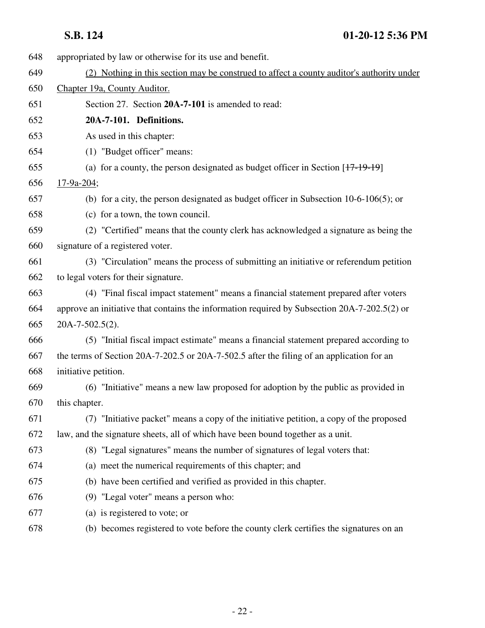| 648 | appropriated by law or otherwise for its use and benefit.                                    |  |  |  |
|-----|----------------------------------------------------------------------------------------------|--|--|--|
| 649 | (2) Nothing in this section may be construed to affect a county auditor's authority under    |  |  |  |
| 650 | Chapter 19a, County Auditor.                                                                 |  |  |  |
| 651 | Section 27. Section 20A-7-101 is amended to read:                                            |  |  |  |
| 652 | 20A-7-101. Definitions.                                                                      |  |  |  |
| 653 | As used in this chapter:                                                                     |  |  |  |
| 654 | (1) "Budget officer" means:                                                                  |  |  |  |
| 655 | (a) for a county, the person designated as budget officer in Section $[17-19-19]$            |  |  |  |
| 656 | $17-9a-204;$                                                                                 |  |  |  |
| 657 | (b) for a city, the person designated as budget officer in Subsection $10-6-106(5)$ ; or     |  |  |  |
| 658 | (c) for a town, the town council.                                                            |  |  |  |
| 659 | (2) "Certified" means that the county clerk has acknowledged a signature as being the        |  |  |  |
| 660 | signature of a registered voter.                                                             |  |  |  |
| 661 | (3) "Circulation" means the process of submitting an initiative or referendum petition       |  |  |  |
| 662 | to legal voters for their signature.                                                         |  |  |  |
| 663 | (4) "Final fiscal impact statement" means a financial statement prepared after voters        |  |  |  |
| 664 | approve an initiative that contains the information required by Subsection 20A-7-202.5(2) or |  |  |  |
| 665 | 20A-7-502.5(2).                                                                              |  |  |  |
| 666 | (5) "Initial fiscal impact estimate" means a financial statement prepared according to       |  |  |  |
| 667 | the terms of Section 20A-7-202.5 or 20A-7-502.5 after the filing of an application for an    |  |  |  |
| 668 | initiative petition.                                                                         |  |  |  |
| 669 | (6) "Initiative" means a new law proposed for adoption by the public as provided in          |  |  |  |
| 670 | this chapter.                                                                                |  |  |  |
| 671 | (7) "Initiative packet" means a copy of the initiative petition, a copy of the proposed      |  |  |  |
| 672 | law, and the signature sheets, all of which have been bound together as a unit.              |  |  |  |
| 673 | (8) "Legal signatures" means the number of signatures of legal voters that:                  |  |  |  |
| 674 | (a) meet the numerical requirements of this chapter; and                                     |  |  |  |
| 675 | (b) have been certified and verified as provided in this chapter.                            |  |  |  |
| 676 | (9) "Legal voter" means a person who:                                                        |  |  |  |
| 677 | (a) is registered to vote; or                                                                |  |  |  |
| 678 | (b) becomes registered to vote before the county clerk certifies the signatures on an        |  |  |  |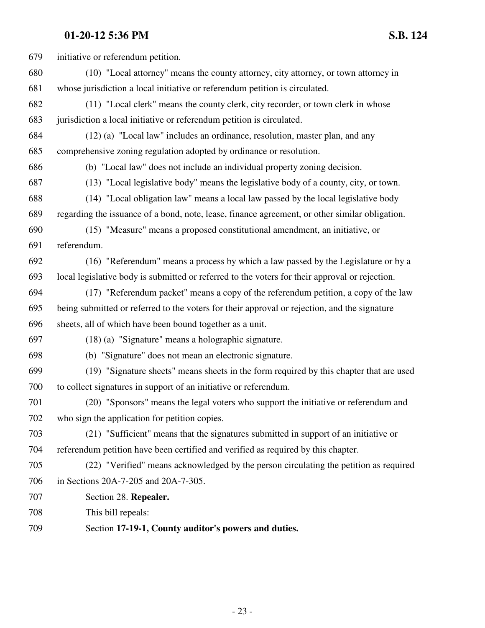| 679 | initiative or referendum petition.                                                             |
|-----|------------------------------------------------------------------------------------------------|
| 680 | (10) "Local attorney" means the county attorney, city attorney, or town attorney in            |
| 681 | whose jurisdiction a local initiative or referendum petition is circulated.                    |
| 682 | (11) "Local clerk" means the county clerk, city recorder, or town clerk in whose               |
| 683 | jurisdiction a local initiative or referendum petition is circulated.                          |
| 684 | (12) (a) "Local law" includes an ordinance, resolution, master plan, and any                   |
| 685 | comprehensive zoning regulation adopted by ordinance or resolution.                            |
| 686 | (b) "Local law" does not include an individual property zoning decision.                       |
| 687 | (13) "Local legislative body" means the legislative body of a county, city, or town.           |
| 688 | (14) "Local obligation law" means a local law passed by the local legislative body             |
| 689 | regarding the issuance of a bond, note, lease, finance agreement, or other similar obligation. |
| 690 | (15) "Measure" means a proposed constitutional amendment, an initiative, or                    |
| 691 | referendum.                                                                                    |
| 692 | (16) "Referendum" means a process by which a law passed by the Legislature or by a             |
| 693 | local legislative body is submitted or referred to the voters for their approval or rejection. |
| 694 | (17) "Referendum packet" means a copy of the referendum petition, a copy of the law            |
| 695 | being submitted or referred to the voters for their approval or rejection, and the signature   |
| 696 | sheets, all of which have been bound together as a unit.                                       |
| 697 | $(18)$ (a) "Signature" means a holographic signature.                                          |
| 698 | (b) "Signature" does not mean an electronic signature.                                         |
| 699 | (19) "Signature sheets" means sheets in the form required by this chapter that are used        |
| 700 | to collect signatures in support of an initiative or referendum.                               |
| 701 | (20) "Sponsors" means the legal voters who support the initiative or referendum and            |
| 702 | who sign the application for petition copies.                                                  |
| 703 | (21) "Sufficient" means that the signatures submitted in support of an initiative or           |
| 704 | referendum petition have been certified and verified as required by this chapter.              |
| 705 | (22) "Verified" means acknowledged by the person circulating the petition as required          |
| 706 | in Sections 20A-7-205 and 20A-7-305.                                                           |
| 707 | Section 28. Repealer.                                                                          |
| 708 | This bill repeals:                                                                             |
| 709 | Section 17-19-1, County auditor's powers and duties.                                           |